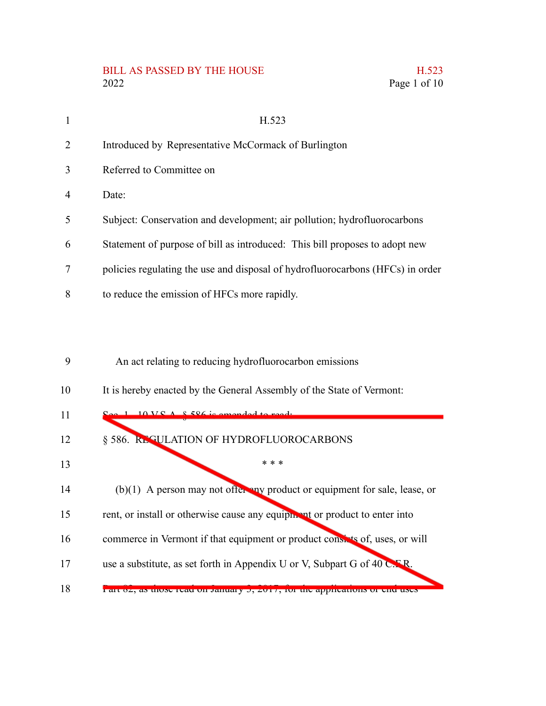## BILL AS PASSED BY THE HOUSE 2022 2022 Page 1 of 10

|  | H.523        |
|--|--------------|
|  | Page 1 of 10 |

| 1              | H.523                                                                          |
|----------------|--------------------------------------------------------------------------------|
| $\overline{2}$ | Introduced by Representative McCormack of Burlington                           |
| 3              | Referred to Committee on                                                       |
| 4              | Date:                                                                          |
| 5              | Subject: Conservation and development; air pollution; hydrofluorocarbons       |
| 6              | Statement of purpose of bill as introduced: This bill proposes to adopt new    |
| 7              | policies regulating the use and disposal of hydrofluorocarbons (HFCs) in order |
| 8              | to reduce the emission of HFCs more rapidly.                                   |
|                |                                                                                |
|                |                                                                                |
| 9              | An act relating to reducing hydrofluorocarbon emissions                        |
| 10             | It is hereby enacted by the General Assembly of the State of Vermont:          |
| 11             |                                                                                |
| 12             | § 586. REGULATION OF HYDROFLUOROCARBONS                                        |
| 13             | * * *                                                                          |
| 14             | $(b)(1)$ A person may not offer any product or equipment for sale, lease, or   |
| 15             | rent, or install or otherwise cause any equipment or product to enter into     |
| 16             | commerce in Vermont if that equipment or product consists of, uses, or will    |
| 17             | use a substitute, as set forth in Appendix U or V, Subpart G of 40 C.F.R.      |
| 18             | r art 02, as those read on January 3, 2017, 101 the applications of end uses   |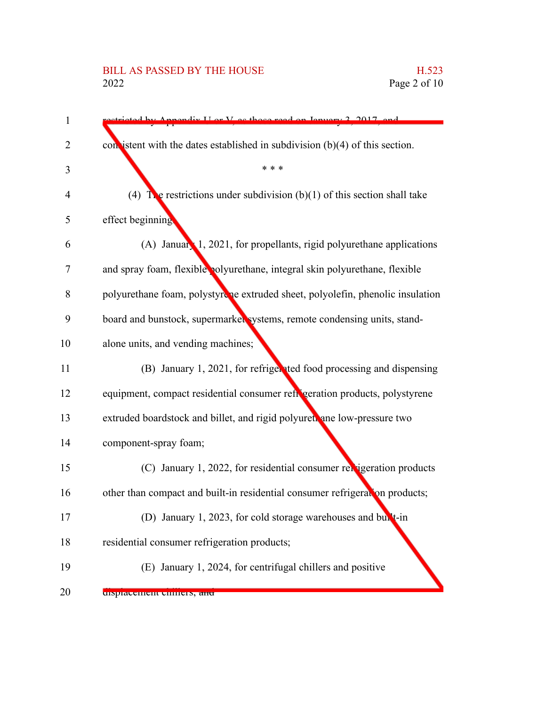## BILL AS PASSED BY THE HOUSE H.523<br>2022 Page 2 of 10

| $\mathbf{1}$   | propoliz I or V as those read on January 2, 2017, and                          |
|----------------|--------------------------------------------------------------------------------|
| 2              | con istent with the dates established in subdivision $(b)(4)$ of this section. |
| 3              | * * *                                                                          |
| $\overline{4}$ | (4) The restrictions under subdivision (b)(1) of this section shall take       |
| 5              | effect beginning                                                               |
| 6              | (A) January 1, 2021, for propellants, rigid polyurethane applications          |
| 7              | and spray foam, flexible polyurethane, integral skin polyurethane, flexible    |
| 8              | polyurethane foam, polystyrche extruded sheet, polyolefin, phenolic insulation |
| 9              | board and bunstock, supermarked systems, remote condensing units, stand-       |
| 10             | alone units, and vending machines;                                             |
| 11             | (B) January 1, 2021, for refriger ted food processing and dispensing           |
| 12             | equipment, compact residential consumer refigeration products, polystyrene     |
| 13             | extruded boardstock and billet, and rigid polyuret ane low-pressure two        |
| 14             | component-spray foam;                                                          |
| 15             | (C) January 1, 2022, for residential consumer relatigeration products          |
| 16             | other than compact and built-in residential consumer refrigeration products;   |
| 17             | (D) January 1, 2023, for cold storage warehouses and built-in                  |
| 18             | residential consumer refrigeration products;                                   |
| 19             | (E) January 1, 2024, for centrifugal chillers and positive                     |
| 20             | uspracement currens, and                                                       |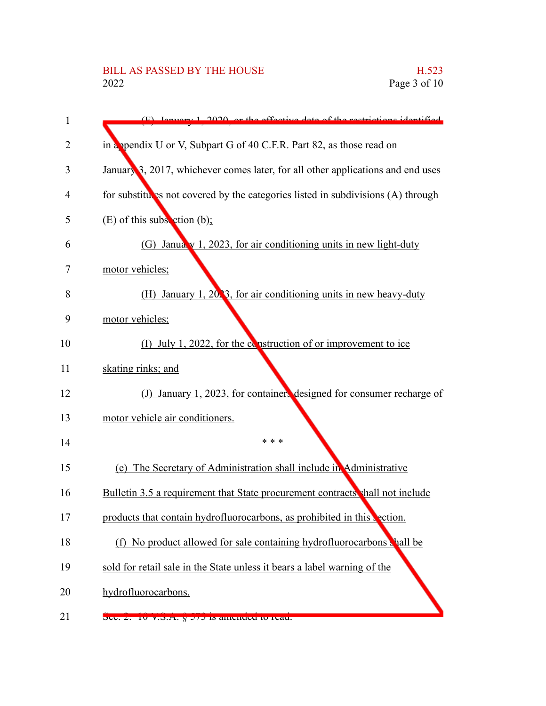| 1              | (E) Ignuary 1, 2020, or the effective data of the restrictions identified                                                                                                                                                                                                                                                                                                            |
|----------------|--------------------------------------------------------------------------------------------------------------------------------------------------------------------------------------------------------------------------------------------------------------------------------------------------------------------------------------------------------------------------------------|
| $\overline{2}$ | in a ppendix U or V, Subpart G of 40 C.F.R. Part 82, as those read on                                                                                                                                                                                                                                                                                                                |
| 3              | January 3, 2017, whichever comes later, for all other applications and end uses                                                                                                                                                                                                                                                                                                      |
| 4              | for substitutes not covered by the categories listed in subdivisions (A) through                                                                                                                                                                                                                                                                                                     |
| 5              | $(E)$ of this subsection (b);                                                                                                                                                                                                                                                                                                                                                        |
| 6              | (G) January 1, 2023, for air conditioning units in new light-duty                                                                                                                                                                                                                                                                                                                    |
| 7              | motor vehicles;                                                                                                                                                                                                                                                                                                                                                                      |
| 8              | (H) January 1, $20\%$ , for air conditioning units in new heavy-duty                                                                                                                                                                                                                                                                                                                 |
| 9              | motor vehicles;                                                                                                                                                                                                                                                                                                                                                                      |
| 10             | (I) July 1, 2022, for the construction of or improvement to ice                                                                                                                                                                                                                                                                                                                      |
| 11             | skating rinks; and                                                                                                                                                                                                                                                                                                                                                                   |
| 12             | January 1, 2023, for containers designed for consumer recharge of<br>$\left( \int \right)$                                                                                                                                                                                                                                                                                           |
| 13             | motor vehicle air conditioners.                                                                                                                                                                                                                                                                                                                                                      |
| 14             | * * *                                                                                                                                                                                                                                                                                                                                                                                |
| 15             | (e) The Secretary of Administration shall include in Administrative                                                                                                                                                                                                                                                                                                                  |
| 16             | Bulletin 3.5 a requirement that State procurement contracts shall not include                                                                                                                                                                                                                                                                                                        |
| 17             | products that contain hydrofluorocarbons, as prohibited in this vection.                                                                                                                                                                                                                                                                                                             |
| 18             | (f) No product allowed for sale containing hydrofluorocarbons shall be                                                                                                                                                                                                                                                                                                               |
| 19             | sold for retail sale in the State unless it bears a label warning of the                                                                                                                                                                                                                                                                                                             |
| 20             | hydrofluorocarbons.                                                                                                                                                                                                                                                                                                                                                                  |
| 21             | $\overline{C}$ $\overline{C}$ $\overline{C}$ $\overline{C}$ $\overline{C}$ $\overline{C}$ $\overline{C}$ $\overline{C}$ $\overline{C}$ $\overline{C}$ $\overline{C}$ $\overline{C}$ $\overline{C}$ $\overline{C}$ $\overline{C}$ $\overline{C}$ $\overline{C}$ $\overline{C}$ $\overline{C}$ $\overline{C}$ $\overline{C}$ $\overline{C}$ $\overline{C}$ $\overline{C}$ $\overline{$ |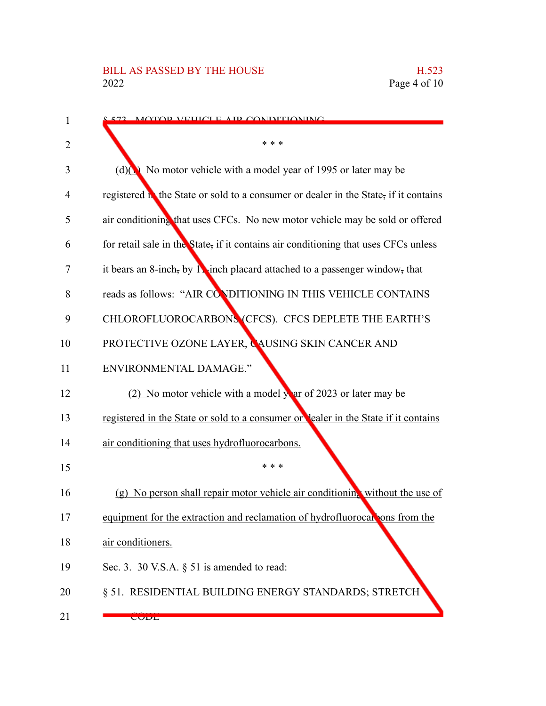| 1              | <u>s 572 - MOTOD VEHICLE AID CONDITIONING</u>                                        |
|----------------|--------------------------------------------------------------------------------------|
| $\overline{2}$ | * * *                                                                                |
| 3              | (d) $\big(\infty\big)$ No motor vehicle with a model year of 1995 or later may be    |
| 4              | registered in the State or sold to a consumer or dealer in the State, if it contains |
| 5              | air conditioning that uses CFCs. No new motor vehicle may be sold or offered         |
| 6              | for retail sale in the State, if it contains air conditioning that uses CFCs unless  |
| 7              | it bears an 8-inch, by 12-inch placard attached to a passenger window, that          |
| 8              | reads as follows: "AIR CONDITIONING IN THIS VEHICLE CONTAINS                         |
| 9              | CHLOROFLUOROCARBONS (CFCS). CFCS DEPLETE THE EARTH'S                                 |
| 10             | PROTECTIVE OZONE LAYER, CAUSING SKIN CANCER AND                                      |
| 11             | ENVIRONMENTAL DAMAGE."                                                               |
| 12             | (2) No motor vehicle with a model year of 2023 or later may be                       |
| 13             | registered in the State or sold to a consumer or lealer in the State if it contains  |
| 14             | air conditioning that uses hydrofluorocarbons.                                       |
| 15             | * * *                                                                                |
| 16             | (g) No person shall repair motor vehicle air conditioning without the use of         |
| 17             | equipment for the extraction and reclamation of hydrofluorocal ons from the          |
| 18             | air conditioners.                                                                    |
| 19             | Sec. 3. 30 V.S.A. $\S$ 51 is amended to read:                                        |
| 20             | § 51. RESIDENTIAL BUILDING ENERGY STANDARDS; STRETCH                                 |
| 21             | <b>CODL</b>                                                                          |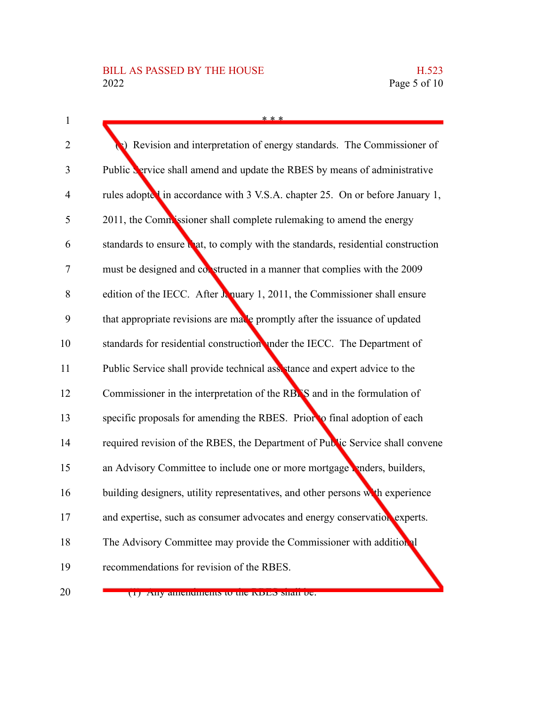| $\mathbf{1}$ | * * *                                                                             |
|--------------|-----------------------------------------------------------------------------------|
| 2            | Revision and interpretation of energy standards. The Commissioner of              |
| 3            | Public Service shall amend and update the RBES by means of administrative         |
| 4            | rules adopted in accordance with 3 V.S.A. chapter 25. On or before January 1,     |
| 5            | 2011, the Commissioner shall complete rulemaking to amend the energy              |
| 6            | standards to ensure that, to comply with the standards, residential construction  |
| 7            | must be designed and constructed in a manner that complies with the 2009          |
| 8            | edition of the IECC. After $\lambda$ nuary 1, 2011, the Commissioner shall ensure |
| 9            | that appropriate revisions are made promptly after the issuance of updated        |
| 10           | standards for residential construction under the IECC. The Department of          |
| 11           | Public Service shall provide technical assistance and expert advice to the        |
| 12           | Commissioner in the interpretation of the RBAS and in the formulation of          |
| 13           | specific proposals for amending the RBES. Prior to final adoption of each         |
| 14           | required revision of the RBES, the Department of Public Service shall convene     |
| 15           | an Advisory Committee to include one or more mortgage renders, builders,          |
| 16           | building designers, utility representatives, and other persons with experience    |
| 17           | and expertise, such as consumer advocates and energy conservation experts.        |
| 18           | The Advisory Committee may provide the Commissioner with additional               |
| 19           | recommendations for revision of the RBES.                                         |
| 20           | (1) Any amendments to the INDES shall be.                                         |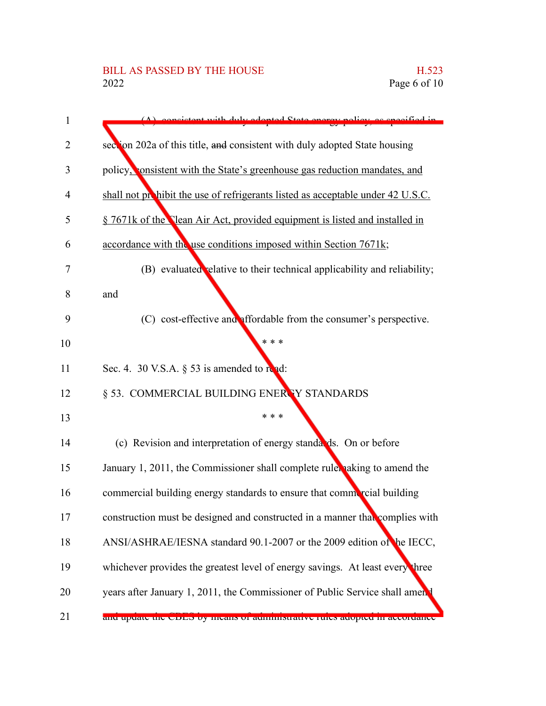| 1  | consistent with duly adopted State energy policy<br>se cresified in             |
|----|---------------------------------------------------------------------------------|
| 2  | section 202a of this title, and consistent with duly adopted State housing      |
| 3  | policy, consistent with the State's greenhouse gas reduction mandates, and      |
| 4  | shall not prohibit the use of refrigerants listed as acceptable under 42 U.S.C. |
| 5  | § 7671k of the Clean Air Act, provided equipment is listed and installed in     |
| 6  | accordance with the use conditions imposed within Section 7671k;                |
| 7  | (B) evaluated relative to their technical applicability and reliability;        |
| 8  | and                                                                             |
| 9  | (C) cost-effective and affordable from the consumer's perspective.              |
| 10 | * * *                                                                           |
| 11 | Sec. 4. 30 V.S.A. $\S$ 53 is amended to read:                                   |
| 12 | § 53. COMMERCIAL BUILDING ENERTY STANDARDS                                      |
| 13 | * * *                                                                           |
| 14 | (c) Revision and interpretation of energy standards. On or before               |
| 15 | January 1, 2011, the Commissioner shall complete rules aking to amend the       |
| 16 | commercial building energy standards to ensure that commercial building         |
| 17 | construction must be designed and constructed in a manner that complies with    |
| 18 | ANSI/ASHRAE/IESNA standard 90.1-2007 or the 2009 edition of the IECC,           |
| 19 | whichever provides the greatest level of energy savings. At least every three   |
| 20 | years after January 1, 2011, the Commissioner of Public Service shall amen      |
| 21 | and update the CDLD by means of administrative rules adopted in accordance      |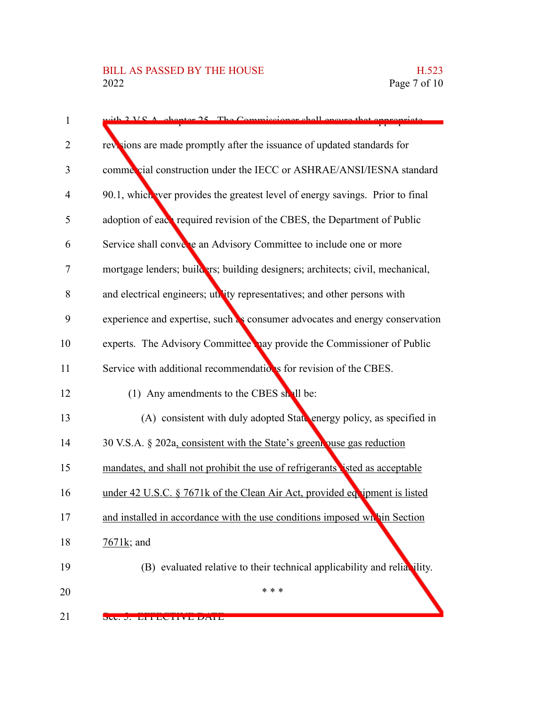| $\mathbf{1}$   | $\frac{1}{2}$ V.S.A. chapter 25. The Commissioner shall ensure that appropriate |
|----------------|---------------------------------------------------------------------------------|
| 2              | revisions are made promptly after the issuance of updated standards for         |
| 3              | commercial construction under the IECC or ASHRAE/ANSI/IESNA standard            |
| $\overline{4}$ | 90.1, which ever provides the greatest level of energy savings. Prior to final  |
| 5              | adoption of each required revision of the CBES, the Department of Public        |
| 6              | Service shall converte an Advisory Committee to include one or more             |
| 7              | mortgage lenders; builders; building designers; architects; civil, mechanical,  |
| 8              | and electrical engineers; uthity representatives; and other persons with        |
| 9              | experience and expertise, such as consumer advocates and energy conservation    |
| 10             | experts. The Advisory Committee hay provide the Commissioner of Public          |
| 11             | Service with additional recommendations for revision of the CBES.               |
| 12             | (1) Any amendments to the CBES shall be:                                        |
| 13             | (A) consistent with duly adopted State energy policy, as specified in           |
| 14             | 30 V.S.A. § 202a, consistent with the State's greent puse gas reduction         |
| 15             | mandates, and shall not prohibit the use of refrigerants isted as acceptable    |
| 16             | under 42 U.S.C. § 7671k of the Clean Air Act, provided equipment is listed      |
| 17             | and installed in accordance with the use conditions imposed whin Section        |
| 18             | $7671k$ ; and                                                                   |
| 19             | (B) evaluated relative to their technical applicability and reliability.        |
| 20             | * * *                                                                           |
| 21             | DUU. J. DIIIDU HYD DATD                                                         |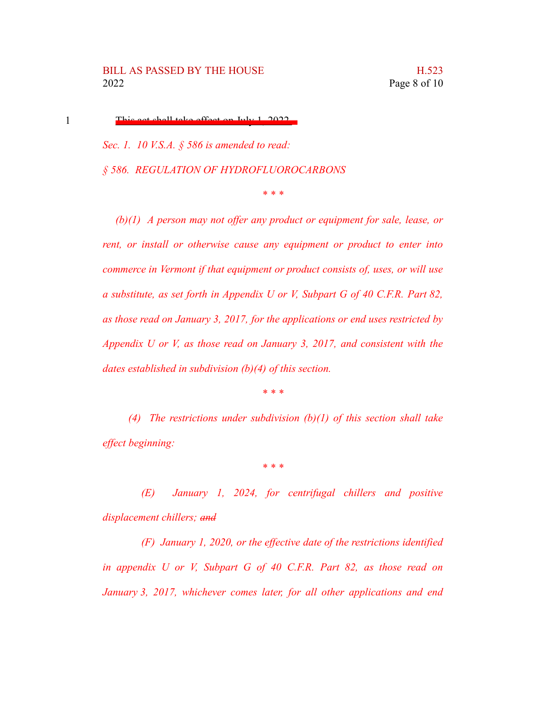1

This act shall take effect on July 1, 2022.

*Sec. 1. 10 V.S.A. § 586 is amended to read: § 586. REGULATION OF HYDROFLUOROCARBONS*

*\* \* \**

*(b)(1) A person may not offer any product or equipment for sale, lease, or rent, or install or otherwise cause any equipment or product to enter into commerce in Vermont if that equipment or product consists of, uses, or will use a substitute, as set forth in Appendix U or V, Subpart G of 40 C.F.R. Part 82, as those read on January 3, 2017, for the applications or end uses restricted by Appendix U or V, as those read on January 3, 2017, and consistent with the dates established in subdivision (b)(4) of this section.*

*\* \* \**

*(4) The restrictions under subdivision (b)(1) of this section shall take effect beginning:*

*\* \* \**

*(E) January 1, 2024, for centrifugal chillers and positive displacement chillers; and*

*(F) January 1, 2020, or the effective date of the restrictions identified in appendix U or V, Subpart G of 40 C.F.R. Part 82, as those read on January 3, 2017, whichever comes later, for all other applications and end*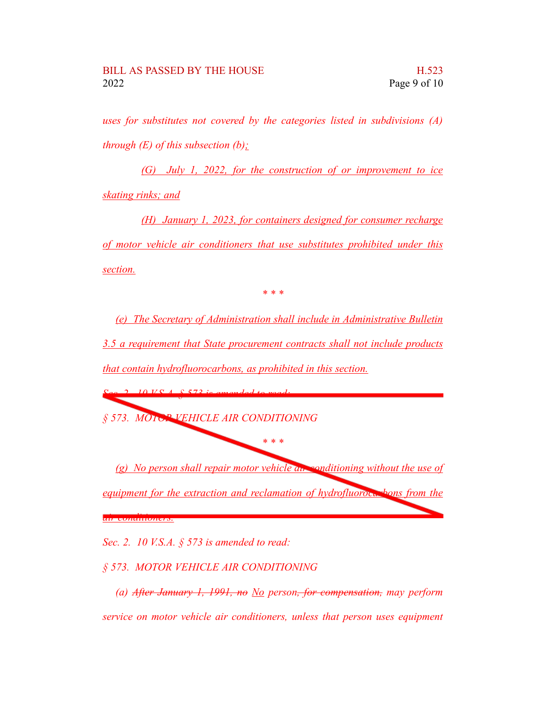*uses for substitutes not covered by the categories listed in subdivisions (A) through (E) of this subsection (b);*

*(G) July 1, 2022, for the construction of or improvement to ice skating rinks; and*

*(H) January 1, 2023, for containers designed for consumer recharge of motor vehicle air conditioners that use substitutes prohibited under this section.*

*\* \* \**

*(e) The Secretary of Administration shall include in Administrative Bulletin 3.5 a requirement that State procurement contracts shall not include products that contain hydrofluorocarbons, as prohibited in this section.*

*Sec. 2. 10 V.S.A. § 573 is amended to read: § 573. MOTOR VEHICLE AIR CONDITIONING*

*(g) No person shall repair motor vehicle air conditioning without the use of equipment for the extraction and reclamation of hydrofluorocarbons from the air conditioners.*

*\* \* \**

*Sec. 2. 10 V.S.A. § 573 is amended to read:*

*§ 573. MOTOR VEHICLE AIR CONDITIONING*

*(a) After January 1, 1991, no No person, for compensation, may perform service on motor vehicle air conditioners, unless that person uses equipment*